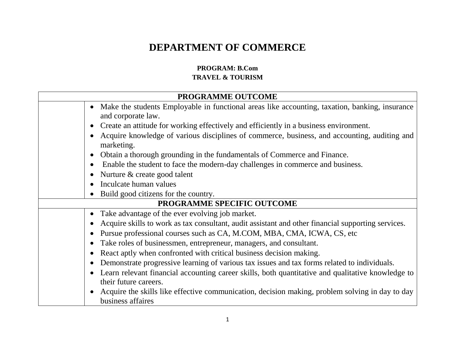## **DEPARTMENT OF COMMERCE**

## **PROGRAM: B.Com TRAVEL & TOURISM**

|                            | PROGRAMME OUTCOME                                                                                                          |  |
|----------------------------|----------------------------------------------------------------------------------------------------------------------------|--|
|                            | • Make the students Employable in functional areas like accounting, taxation, banking, insurance<br>and corporate law.     |  |
|                            | Create an attitude for working effectively and efficiently in a business environment.                                      |  |
|                            | Acquire knowledge of various disciplines of commerce, business, and accounting, auditing and<br>marketing.                 |  |
|                            | Obtain a thorough grounding in the fundamentals of Commerce and Finance.                                                   |  |
|                            | Enable the student to face the modern-day challenges in commerce and business.                                             |  |
|                            | Nurture & create good talent                                                                                               |  |
|                            | Inculcate human values                                                                                                     |  |
|                            | Build good citizens for the country.                                                                                       |  |
| PROGRAMME SPECIFIC OUTCOME |                                                                                                                            |  |
|                            | • Take advantage of the ever evolving job market.                                                                          |  |
|                            | Acquire skills to work as tax consultant, audit assistant and other financial supporting services.                         |  |
|                            | Pursue professional courses such as CA, M.COM, MBA, CMA, ICWA, CS, etc.                                                    |  |
|                            | Take roles of businessmen, entrepreneur, managers, and consultant.                                                         |  |
|                            | React aptly when confronted with critical business decision making.                                                        |  |
|                            | Demonstrate progressive learning of various tax issues and tax forms related to individuals.                               |  |
|                            | Learn relevant financial accounting career skills, both quantitative and qualitative knowledge to<br>their future careers. |  |
|                            | Acquire the skills like effective communication, decision making, problem solving in day to day<br>business affaires       |  |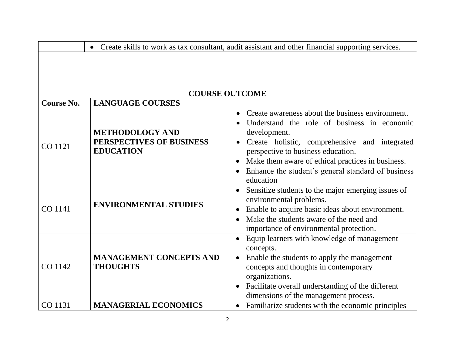|                       |                                                                        | Create skills to work as tax consultant, audit assistant and other financial supporting services.                                                                                                                                                                                                                                           |
|-----------------------|------------------------------------------------------------------------|---------------------------------------------------------------------------------------------------------------------------------------------------------------------------------------------------------------------------------------------------------------------------------------------------------------------------------------------|
| <b>COURSE OUTCOME</b> |                                                                        |                                                                                                                                                                                                                                                                                                                                             |
| <b>Course No.</b>     | <b>LANGUAGE COURSES</b>                                                |                                                                                                                                                                                                                                                                                                                                             |
| CO 1121               | <b>METHODOLOGY AND</b><br>PERSPECTIVES OF BUSINESS<br><b>EDUCATION</b> | Create awareness about the business environment.<br>$\bullet$<br>Understand the role of business in economic<br>development.<br>Create holistic, comprehensive and integrated<br>perspective to business education.<br>Make them aware of ethical practices in business.<br>Enhance the student's general standard of business<br>education |
| CO 1141               | <b>ENVIRONMENTAL STUDIES</b>                                           | Sensitize students to the major emerging issues of<br>$\bullet$<br>environmental problems.<br>Enable to acquire basic ideas about environment.<br>$\bullet$<br>Make the students aware of the need and<br>importance of environmental protection.                                                                                           |
| CO 1142               | <b>MANAGEMENT CONCEPTS AND</b><br><b>THOUGHTS</b>                      | Equip learners with knowledge of management<br>concepts.<br>Enable the students to apply the management<br>$\bullet$<br>concepts and thoughts in contemporary<br>organizations.<br>Facilitate overall understanding of the different<br>$\bullet$<br>dimensions of the management process.                                                  |
| CO 1131               | <b>MANAGERIAL ECONOMICS</b>                                            | Familiarize students with the economic principles                                                                                                                                                                                                                                                                                           |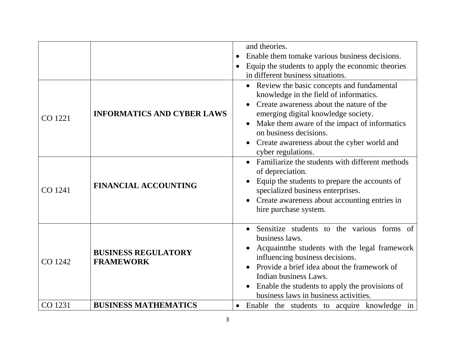|         |                                                | and theories.<br>Enable them to make various business decisions.                                                                                                                                                                                                                                                                                                                                                                   |
|---------|------------------------------------------------|------------------------------------------------------------------------------------------------------------------------------------------------------------------------------------------------------------------------------------------------------------------------------------------------------------------------------------------------------------------------------------------------------------------------------------|
|         |                                                | Equip the students to apply the economic theories<br>in different business situations.                                                                                                                                                                                                                                                                                                                                             |
| CO 1221 | <b>INFORMATICS AND CYBER LAWS</b>              | Review the basic concepts and fundamental<br>$\bullet$<br>knowledge in the field of informatics.<br>Create awareness about the nature of the<br>emerging digital knowledge society.<br>Make them aware of the impact of informatics<br>on business decisions.<br>Create awareness about the cyber world and<br>$\bullet$<br>cyber regulations.<br>Familiarize the students with different methods<br>$\bullet$<br>of depreciation. |
| CO 1241 | <b>FINANCIAL ACCOUNTING</b>                    | Equip the students to prepare the accounts of<br>specialized business enterprises.<br>Create awareness about accounting entries in<br>hire purchase system.                                                                                                                                                                                                                                                                        |
| CO 1242 | <b>BUSINESS REGULATORY</b><br><b>FRAMEWORK</b> | Sensitize students to the various forms of<br>business laws.<br>Acquaintine students with the legal framework<br>influencing business decisions.<br>Provide a brief idea about the framework of<br>$\bullet$<br>Indian business Laws.<br>Enable the students to apply the provisions of<br>business laws in business activities.                                                                                                   |
| CO 1231 | <b>BUSINESS MATHEMATICS</b>                    | Enable the students to acquire knowledge in                                                                                                                                                                                                                                                                                                                                                                                        |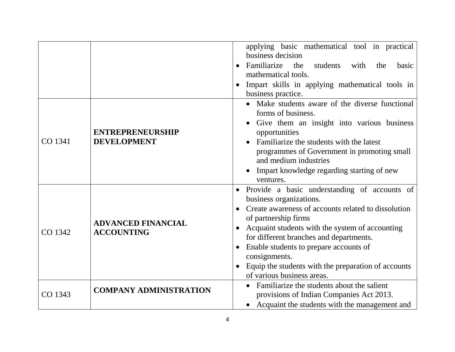|         |                                                | applying basic mathematical tool in practical                    |
|---------|------------------------------------------------|------------------------------------------------------------------|
|         |                                                | business decision                                                |
|         |                                                | Familiarize<br>the<br>students<br>with<br>the<br>basic           |
|         |                                                | mathematical tools.                                              |
|         |                                                | Impart skills in applying mathematical tools in<br>$\bullet$     |
|         |                                                | business practice.                                               |
|         |                                                | Make students aware of the diverse functional                    |
|         |                                                | forms of business.                                               |
|         |                                                | Give them an insight into various business                       |
|         | <b>ENTREPRENEURSHIP</b>                        | opportunities                                                    |
| CO 1341 | <b>DEVELOPMENT</b>                             | Familiarize the students with the latest                         |
|         |                                                | programmes of Government in promoting small                      |
|         |                                                | and medium industries                                            |
|         |                                                | Impart knowledge regarding starting of new                       |
|         |                                                | ventures.                                                        |
|         |                                                | Provide a basic understanding of accounts of<br>$\bullet$        |
|         | <b>ADVANCED FINANCIAL</b><br><b>ACCOUNTING</b> | business organizations.                                          |
|         |                                                | Create awareness of accounts related to dissolution              |
|         |                                                | of partnership firms                                             |
| CO 1342 |                                                | Acquaint students with the system of accounting                  |
|         |                                                | for different branches and departments.                          |
|         |                                                | Enable students to prepare accounts of<br>$\bullet$              |
|         |                                                | consignments.                                                    |
|         |                                                | Equip the students with the preparation of accounts<br>$\bullet$ |
|         |                                                | of various business areas.                                       |
|         | <b>COMPANY ADMINISTRATION</b>                  | Familiarize the students about the salient                       |
| CO 1343 |                                                | provisions of Indian Companies Act 2013.                         |
|         |                                                | Acquaint the students with the management and                    |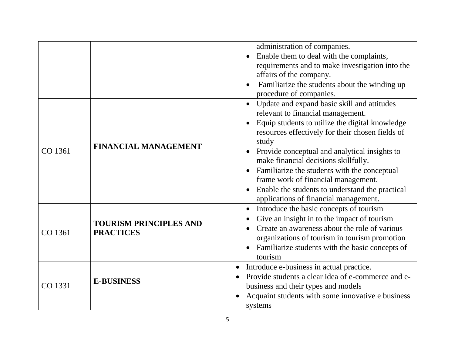|         |                                                   | administration of companies.                                    |
|---------|---------------------------------------------------|-----------------------------------------------------------------|
|         |                                                   | Enable them to deal with the complaints,                        |
|         |                                                   | requirements and to make investigation into the                 |
|         |                                                   | affairs of the company.                                         |
|         |                                                   | Familiarize the students about the winding up                   |
|         |                                                   | procedure of companies.                                         |
|         |                                                   | Update and expand basic skill and attitudes                     |
|         |                                                   | relevant to financial management.                               |
|         |                                                   | Equip students to utilize the digital knowledge                 |
|         | FINANCIAL MANAGEMENT                              | resources effectively for their chosen fields of<br>study       |
| CO 1361 |                                                   | Provide conceptual and analytical insights to<br>$\bullet$      |
|         |                                                   | make financial decisions skillfully.                            |
|         |                                                   | Familiarize the students with the conceptual                    |
|         |                                                   | frame work of financial management.                             |
|         |                                                   | Enable the students to understand the practical                 |
|         |                                                   | applications of financial management.                           |
|         |                                                   | Introduce the basic concepts of tourism<br>$\bullet$            |
|         | <b>TOURISM PRINCIPLES AND</b><br><b>PRACTICES</b> | Give an insight in to the impact of tourism                     |
| CO 1361 |                                                   | Create an awareness about the role of various                   |
|         |                                                   | organizations of tourism in tourism promotion                   |
|         |                                                   | Familiarize students with the basic concepts of                 |
|         |                                                   | tourism                                                         |
|         |                                                   | Introduce e-business in actual practice.<br>$\bullet$           |
| CO 1331 | <b>E-BUSINESS</b>                                 | Provide students a clear idea of e-commerce and e-<br>$\bullet$ |
|         |                                                   | business and their types and models                             |
|         |                                                   | Acquaint students with some innovative e business               |
|         |                                                   | systems                                                         |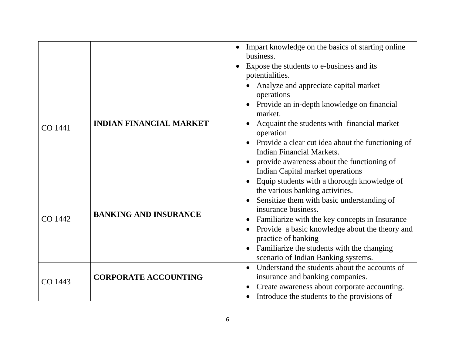|         |                                | Impart knowledge on the basics of starting online<br>$\bullet$<br>business.<br>Expose the students to e-business and its<br>potentialities.                                                                                                                                                                                                                                                                             |
|---------|--------------------------------|-------------------------------------------------------------------------------------------------------------------------------------------------------------------------------------------------------------------------------------------------------------------------------------------------------------------------------------------------------------------------------------------------------------------------|
| CO 1441 | <b>INDIAN FINANCIAL MARKET</b> | Analyze and appreciate capital market<br>operations<br>Provide an in-depth knowledge on financial<br>$\bullet$<br>market.<br>Acquaint the students with financial market<br>$\bullet$<br>operation<br>Provide a clear cut idea about the functioning of<br><b>Indian Financial Markets.</b><br>provide awareness about the functioning of<br>Indian Capital market operations                                           |
| CO 1442 | <b>BANKING AND INSURANCE</b>   | Equip students with a thorough knowledge of<br>$\bullet$<br>the various banking activities.<br>Sensitize them with basic understanding of<br>$\bullet$<br>insurance business.<br>Familiarize with the key concepts in Insurance<br>$\bullet$<br>Provide a basic knowledge about the theory and<br>practice of banking<br>Familiarize the students with the changing<br>$\bullet$<br>scenario of Indian Banking systems. |
| CO 1443 | <b>CORPORATE ACCOUNTING</b>    | Understand the students about the accounts of<br>insurance and banking companies.<br>Create awareness about corporate accounting.<br>Introduce the students to the provisions of                                                                                                                                                                                                                                        |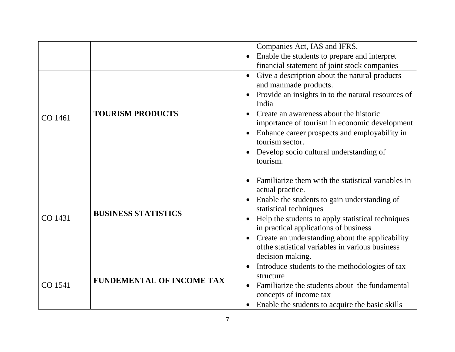|         |                                  | Companies Act, IAS and IFRS.                                                                                     |
|---------|----------------------------------|------------------------------------------------------------------------------------------------------------------|
|         |                                  | Enable the students to prepare and interpret<br>$\bullet$                                                        |
|         |                                  | financial statement of joint stock companies                                                                     |
|         |                                  | • Give a description about the natural products                                                                  |
|         |                                  | and manmade products.                                                                                            |
|         |                                  | Provide an insights in to the natural resources of<br>India                                                      |
| CO 1461 | <b>TOURISM PRODUCTS</b>          | Create an awareness about the historic<br>importance of tourism in economic development                          |
|         |                                  | Enhance career prospects and employability in<br>$\bullet$<br>tourism sector.                                    |
|         |                                  | Develop socio cultural understanding of<br>tourism.                                                              |
|         |                                  |                                                                                                                  |
| CO 1431 | <b>BUSINESS STATISTICS</b>       | Familiarize them with the statistical variables in<br>actual practice.                                           |
|         |                                  | Enable the students to gain understanding of<br>$\bullet$                                                        |
|         |                                  | statistical techniques                                                                                           |
|         |                                  | Help the students to apply statistical techniques<br>$\bullet$<br>in practical applications of business          |
|         |                                  | Create an understanding about the applicability<br>$\bullet$<br>of the statistical variables in various business |
|         |                                  | decision making.                                                                                                 |
|         |                                  | Introduce students to the methodologies of tax<br>$\bullet$                                                      |
| CO 1541 | <b>FUNDEMENTAL OF INCOME TAX</b> | structure                                                                                                        |
|         |                                  | Familiarize the students about the fundamental                                                                   |
|         |                                  | concepts of income tax                                                                                           |
|         |                                  | Enable the students to acquire the basic skills                                                                  |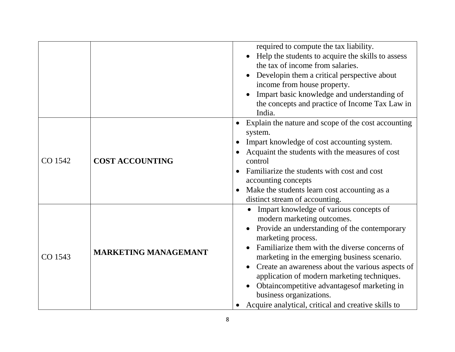|         |                             | required to compute the tax liability.<br>Help the students to acquire the skills to assess<br>the tax of income from salaries.<br>Developin them a critical perspective about<br>$\bullet$<br>income from house property.<br>Impart basic knowledge and understanding of<br>the concepts and practice of Income Tax Law in<br>India.                                                                                                                                             |
|---------|-----------------------------|-----------------------------------------------------------------------------------------------------------------------------------------------------------------------------------------------------------------------------------------------------------------------------------------------------------------------------------------------------------------------------------------------------------------------------------------------------------------------------------|
| CO 1542 | <b>COST ACCOUNTING</b>      | Explain the nature and scope of the cost accounting<br>$\bullet$<br>system.<br>Impart knowledge of cost accounting system.<br>Acquaint the students with the measures of cost<br>control<br>Familiarize the students with cost and cost<br>accounting concepts<br>Make the students learn cost accounting as a<br>$\bullet$<br>distinct stream of accounting.                                                                                                                     |
| CO 1543 | <b>MARKETING MANAGEMANT</b> | Impart knowledge of various concepts of<br>modern marketing outcomes.<br>Provide an understanding of the contemporary<br>marketing process.<br>Familiarize them with the diverse concerns of<br>marketing in the emerging business scenario.<br>Create an awareness about the various aspects of<br>application of modern marketing techniques.<br>Obtaincompetitive advantages of marketing in<br>business organizations.<br>Acquire analytical, critical and creative skills to |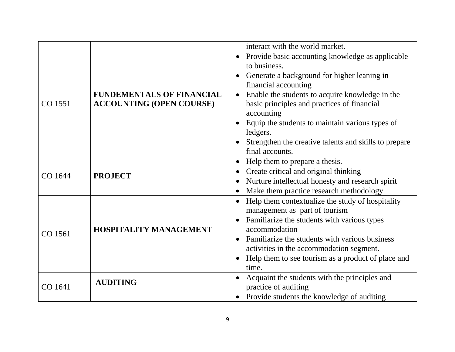|         |                                                                     | interact with the world market.                                                                                                                                                                                                                                                                                                                                                                                              |
|---------|---------------------------------------------------------------------|------------------------------------------------------------------------------------------------------------------------------------------------------------------------------------------------------------------------------------------------------------------------------------------------------------------------------------------------------------------------------------------------------------------------------|
| CO 1551 | <b>FUNDEMENTALS OF FINANCIAL</b><br><b>ACCOUNTING (OPEN COURSE)</b> | Provide basic accounting knowledge as applicable<br>$\bullet$<br>to business.<br>Generate a background for higher leaning in<br>financial accounting<br>Enable the students to acquire knowledge in the<br>$\bullet$<br>basic principles and practices of financial<br>accounting<br>Equip the students to maintain various types of<br>ledgers.<br>Strengthen the creative talents and skills to prepare<br>final accounts. |
| CO 1644 | <b>PROJECT</b>                                                      | Help them to prepare a thesis.<br>$\bullet$<br>Create critical and original thinking<br>$\bullet$<br>Nurture intellectual honesty and research spirit<br>Make them practice research methodology                                                                                                                                                                                                                             |
| CO 1561 | <b>HOSPITALITY MANAGEMENT</b>                                       | Help them contextualize the study of hospitality<br>management as part of tourism<br>Familiarize the students with various types<br>accommodation<br>Familiarize the students with various business<br>activities in the accommodation segment.<br>Help them to see tourism as a product of place and<br>time.                                                                                                               |
| CO 1641 | <b>AUDITING</b>                                                     | Acquaint the students with the principles and<br>practice of auditing<br>Provide students the knowledge of auditing                                                                                                                                                                                                                                                                                                          |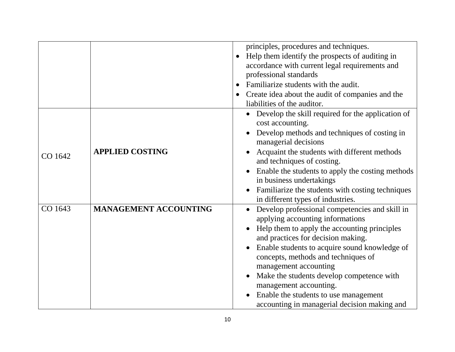|         |                              | principles, procedures and techniques.                                                             |
|---------|------------------------------|----------------------------------------------------------------------------------------------------|
|         |                              | Help them identify the prospects of auditing in<br>$\bullet$                                       |
|         |                              | accordance with current legal requirements and                                                     |
|         |                              | professional standards                                                                             |
|         |                              | Familiarize students with the audit.<br>$\bullet$                                                  |
|         |                              | Create idea about the audit of companies and the                                                   |
|         |                              | liabilities of the auditor.                                                                        |
|         |                              | Develop the skill required for the application of<br>$\bullet$<br>cost accounting.                 |
|         |                              | Develop methods and techniques of costing in<br>$\bullet$<br>managerial decisions                  |
| CO 1642 | <b>APPLIED COSTING</b>       | Acquaint the students with different methods<br>and techniques of costing.                         |
|         |                              | Enable the students to apply the costing methods<br>in business undertakings                       |
|         |                              | Familiarize the students with costing techniques<br>$\bullet$<br>in different types of industries. |
| CO 1643 | <b>MANAGEMENT ACCOUNTING</b> | Develop professional competencies and skill in<br>applying accounting informations                 |
|         |                              | Help them to apply the accounting principles<br>and practices for decision making.                 |
|         |                              | Enable students to acquire sound knowledge of<br>$\bullet$<br>concepts, methods and techniques of  |
|         |                              | management accounting                                                                              |
|         |                              | Make the students develop competence with<br>$\bullet$                                             |
|         |                              | management accounting.                                                                             |
|         |                              | Enable the students to use management                                                              |
|         |                              | accounting in managerial decision making and                                                       |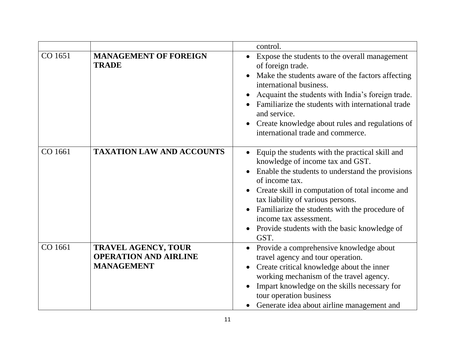|         |                                                                                 | control.                                                                                                                                                                                                                                                                                                                                                                                           |
|---------|---------------------------------------------------------------------------------|----------------------------------------------------------------------------------------------------------------------------------------------------------------------------------------------------------------------------------------------------------------------------------------------------------------------------------------------------------------------------------------------------|
| CO 1651 | <b>MANAGEMENT OF FOREIGN</b><br><b>TRADE</b>                                    | Expose the students to the overall management<br>of foreign trade.<br>Make the students aware of the factors affecting<br>international business.<br>Acquaint the students with India's foreign trade.<br>Familiarize the students with international trade<br>and service.<br>Create knowledge about rules and regulations of<br>international trade and commerce.                                |
| CO 1661 | <b>TAXATION LAW AND ACCOUNTS</b>                                                | Equip the students with the practical skill and<br>$\bullet$<br>knowledge of income tax and GST.<br>Enable the students to understand the provisions<br>of income tax.<br>Create skill in computation of total income and<br>tax liability of various persons.<br>Familiarize the students with the procedure of<br>income tax assessment.<br>Provide students with the basic knowledge of<br>GST. |
| CO 1661 | <b>TRAVEL AGENCY, TOUR</b><br><b>OPERATION AND AIRLINE</b><br><b>MANAGEMENT</b> | Provide a comprehensive knowledge about<br>$\bullet$<br>travel agency and tour operation.<br>Create critical knowledge about the inner<br>working mechanism of the travel agency.<br>Impart knowledge on the skills necessary for<br>tour operation business<br>Generate idea about airline management and<br>$\bullet$                                                                            |